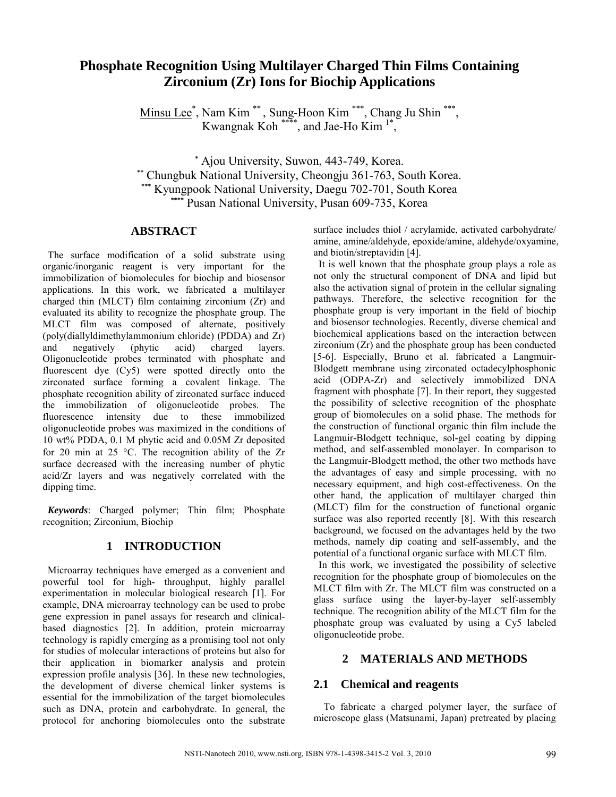# **Phosphate Recognition Using Multilayer Charged Thin Films Containing Zirconium (Zr) Ions for Biochip Applications**

Minsu Lee<sup>\*</sup>, Nam Kim<sup>\*\*</sup>, Sung-Hoon Kim<sup>\*\*\*</sup>, Chang Ju Shin<sup>\*\*\*</sup>, Kwangnak Koh<sup>\*\*\*\*</sup>, and Jae-Ho Kim<sup>1\*</sup>,

**\*** Ajou University, Suwon, 443-749, Korea. **\*\*** Chungbuk National University, Cheongju 361-763, South Korea. **\*\*\*** Kyungpook National University, Daegu 702-701, South Korea **\*\*\*\*** Pusan National University, Pusan 609-735, Korea

## **ABSTRACT**

The surface modification of a solid substrate using organic/inorganic reagent is very important for the immobilization of biomolecules for biochip and biosensor applications. In this work, we fabricated a multilayer charged thin (MLCT) film containing zirconium (Zr) and evaluated its ability to recognize the phosphate group. The MLCT film was composed of alternate, positively (poly(diallyldimethylammonium chloride) (PDDA) and Zr) and negatively (phytic acid) charged layers. Oligonucleotide probes terminated with phosphate and fluorescent dye (Cy5) were spotted directly onto the zirconated surface forming a covalent linkage. The phosphate recognition ability of zirconated surface induced the immobilization of oligonucleotide probes. The fluorescence intensity due to these immobilized oligonucleotide probes was maximized in the conditions of 10 wt% PDDA, 0.1 M phytic acid and 0.05M Zr deposited for 20 min at 25 °C. The recognition ability of the Zr surface decreased with the increasing number of phytic acid/Zr layers and was negatively correlated with the dipping time.

*Keywords*: Charged polymer; Thin film; Phosphate recognition; Zirconium, Biochip

## **1 INTRODUCTION**

Microarray techniques have emerged as a convenient and powerful tool for high- throughput, highly parallel experimentation in molecular biological research [1]. For example, DNA microarray technology can be used to probe gene expression in panel assays for research and clinicalbased diagnostics [2]. In addition, protein microarray technology is rapidly emerging as a promising tool not only for studies of molecular interactions of proteins but also for their application in biomarker analysis and protein expression profile analysis [36]. In these new technologies, the development of diverse chemical linker systems is essential for the immobilization of the target biomolecules such as DNA, protein and carbohydrate. In general, the protocol for anchoring biomolecules onto the substrate surface includes thiol / acrylamide, activated carbohydrate/ amine, amine/aldehyde, epoxide/amine, aldehyde/oxyamine, and biotin/streptavidin [4].

It is well known that the phosphate group plays a role as not only the structural component of DNA and lipid but also the activation signal of protein in the cellular signaling pathways. Therefore, the selective recognition for the phosphate group is very important in the field of biochip and biosensor technologies. Recently, diverse chemical and biochemical applications based on the interaction between zirconium (Zr) and the phosphate group has been conducted [5-6]. Especially, Bruno et al. fabricated a Langmuir-Blodgett membrane using zirconated octadecylphosphonic acid (ODPA-Zr) and selectively immobilized DNA fragment with phosphate [7]. In their report, they suggested the possibility of selective recognition of the phosphate group of biomolecules on a solid phase. The methods for the construction of functional organic thin film include the Langmuir-Blodgett technique, sol-gel coating by dipping method, and self-assembled monolayer. In comparison to the Langmuir-Blodgett method, the other two methods have the advantages of easy and simple processing, with no necessary equipment, and high cost-effectiveness. On the other hand, the application of multilayer charged thin (MLCT) film for the construction of functional organic surface was also reported recently [8]. With this research background, we focused on the advantages held by the two methods, namely dip coating and self-assembly, and the potential of a functional organic surface with MLCT film.

In this work, we investigated the possibility of selective recognition for the phosphate group of biomolecules on the MLCT film with Zr. The MLCT film was constructed on a glass surface using the layer-by-layer self-assembly technique. The recognition ability of the MLCT film for the phosphate group was evaluated by using a Cy5 labeled oligonucleotide probe.

## **2 MATERIALS AND METHODS**

### **2.1 Chemical and reagents**

To fabricate a charged polymer layer, the surface of microscope glass (Matsunami, Japan) pretreated by placing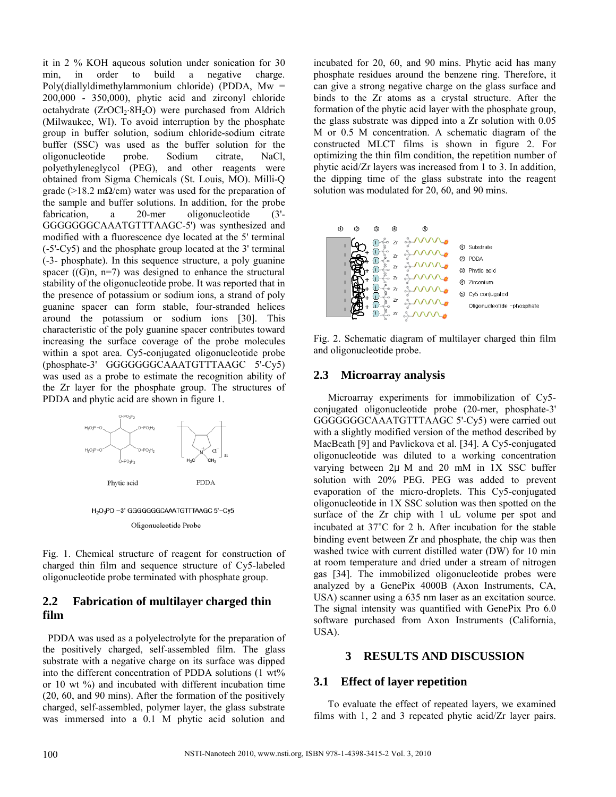it in 2 % KOH aqueous solution under sonication for 30 min, in order to build a negative charge. Poly(diallyldimethylammonium chloride) (PDDA, Mw = 200,000 - 350,000), phytic acid and zirconyl chloride octahydrate (ZrOCl<sub>2</sub>⋅8H<sub>2</sub>O) were purchased from Aldrich (Milwaukee, WI). To avoid interruption by the phosphate group in buffer solution, sodium chloride-sodium citrate buffer (SSC) was used as the buffer solution for the oligonucleotide probe. Sodium citrate. NaCl. oligonucleotide probe. Sodium citrate, NaCl, polyethyleneglycol (PEG), and other reagents were obtained from Sigma Chemicals (St. Louis, MO). Milli-Q grade (>18.2 m $\Omega$ /cm) water was used for the preparation of the sample and buffer solutions. In addition, for the probe fabrication, a 20-mer oligonucleotide (3'- GGGGGGGCAAATGTTTAAGC-5') was synthesized and modified with a fluorescence dye located at the 5' terminal (-5'-Cy5) and the phosphate group located at the 3' terminal (-3- phosphate). In this sequence structure, a poly guanine spacer  $((G)n, n=7)$  was designed to enhance the structural stability of the oligonucleotide probe. It was reported that in the presence of potassium or sodium ions, a strand of poly guanine spacer can form stable, four-stranded helices around the potassium or sodium ions [30]. This characteristic of the poly guanine spacer contributes toward increasing the surface coverage of the probe molecules within a spot area. Cy5-conjugated oligonucleotide probe (phosphate-3' GGGGGGGCAAATGTTTAAGC 5'-Cy5) was used as a probe to estimate the recognition ability of the Zr layer for the phosphate group. The structures of PDDA and phytic acid are shown in figure 1.



Oligonucleotide Probe

Fig. 1. Chemical structure of reagent for construction of charged thin film and sequence structure of Cy5-labeled oligonucleotide probe terminated with phosphate group.

## **2.2 Fabrication of multilayer charged thin film**

PDDA was used as a polyelectrolyte for the preparation of the positively charged, self-assembled film. The glass substrate with a negative charge on its surface was dipped into the different concentration of PDDA solutions (1 wt%) or 10 wt %) and incubated with different incubation time (20, 60, and 90 mins). After the formation of the positively charged, self-assembled, polymer layer, the glass substrate was immersed into a 0.1 M phytic acid solution and

incubated for 20, 60, and 90 mins. Phytic acid has many phosphate residues around the benzene ring. Therefore, it can give a strong negative charge on the glass surface and binds to the Zr atoms as a crystal structure. After the formation of the phytic acid layer with the phosphate group, the glass substrate was dipped into a Zr solution with 0.05 M or 0.5 M concentration. A schematic diagram of the constructed MLCT films is shown in figure 2. For optimizing the thin film condition, the repetition number of phytic acid/Zr layers was increased from 1 to 3. In addition, the dipping time of the glass substrate into the reagent solution was modulated for 20, 60, and 90 mins.



Fig. 2. Schematic diagram of multilayer charged thin film and oligonucleotide probe.

### **2.3 Microarray analysis**

Microarray experiments for immobilization of Cy5 conjugated oligonucleotide probe (20-mer, phosphate-3' GGGGGGGCAAATGTTTAAGC 5'-Cy5) were carried out with a slightly modified version of the method described by MacBeath [9] and Pavlickova et al. [34]. A Cy5-conjugated oligonucleotide was diluted to a working concentration varying between 2μ M and 20 mM in 1X SSC buffer solution with 20% PEG. PEG was added to prevent evaporation of the micro-droplets. This Cy5-conjugated oligonucleotide in 1X SSC solution was then spotted on the surface of the Zr chip with 1 uL volume per spot and incubated at 37°C for 2 h. After incubation for the stable binding event between Zr and phosphate, the chip was then washed twice with current distilled water (DW) for 10 min at room temperature and dried under a stream of nitrogen gas [34]. The immobilized oligonucleotide probes were analyzed by a GenePix 4000B (Axon Instruments, CA, USA) scanner using a 635 nm laser as an excitation source. The signal intensity was quantified with GenePix Pro 6.0 software purchased from Axon Instruments (California, USA).

#### **3 RESULTS AND DISCUSSION**

#### **3.1 Effect of layer repetition**

To evaluate the effect of repeated layers, we examined films with 1, 2 and 3 repeated phytic acid/Zr layer pairs.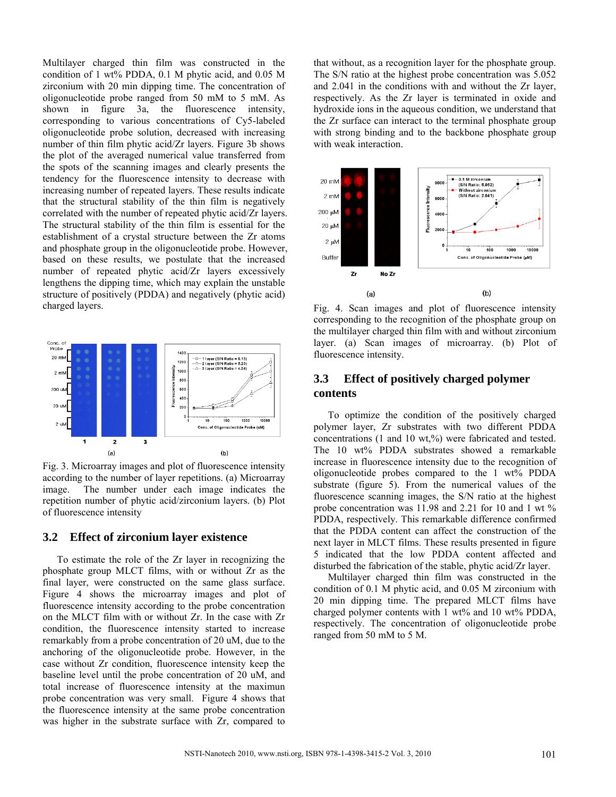Multilayer charged thin film was constructed in the condition of 1 wt% PDDA, 0.1 M phytic acid, and 0.05 M zirconium with 20 min dipping time. The concentration of oligonucleotide probe ranged from 50 mM to 5 mM. As shown in figure 3a, the fluorescence intensity, corresponding to various concentrations of Cy5-labeled oligonucleotide probe solution, decreased with increasing number of thin film phytic acid/Zr layers. Figure 3b shows the plot of the averaged numerical value transferred from the spots of the scanning images and clearly presents the tendency for the fluorescence intensity to decrease with increasing number of repeated layers. These results indicate that the structural stability of the thin film is negatively correlated with the number of repeated phytic acid/Zr layers. The structural stability of the thin film is essential for the establishment of a crystal structure between the Zr atoms and phosphate group in the oligonucleotide probe. However, based on these results, we postulate that the increased number of repeated phytic acid/Zr layers excessively lengthens the dipping time, which may explain the unstable structure of positively (PDDA) and negatively (phytic acid) charged layers.



Fig. 3. Microarray images and plot of fluorescence intensity according to the number of layer repetitions. (a) Microarray image. The number under each image indicates the repetition number of phytic acid/zirconium layers. (b) Plot of fluorescence intensity

### **3.2 Effect of zirconium layer existence**

To estimate the role of the Zr layer in recognizing the phosphate group MLCT films, with or without Zr as the final layer, were constructed on the same glass surface. Figure 4 shows the microarray images and plot of fluorescence intensity according to the probe concentration on the MLCT film with or without Zr. In the case with Zr condition, the fluorescence intensity started to increase remarkably from a probe concentration of 20 uM, due to the anchoring of the oligonucleotide probe. However, in the case without Zr condition, fluorescence intensity keep the baseline level until the probe concentration of 20 uM, and total increase of fluorescence intensity at the maximun probe concentration was very small. Figure 4 shows that the fluorescence intensity at the same probe concentration was higher in the substrate surface with Zr, compared to

that without, as a recognition layer for the phosphate group. The S/N ratio at the highest probe concentration was 5.052 and 2.041 in the conditions with and without the Zr layer, respectively. As the Zr layer is terminated in oxide and hydroxide ions in the aqueous condition, we understand that the Zr surface can interact to the terminal phosphate group with strong binding and to the backbone phosphate group with weak interaction.



Fig. 4. Scan images and plot of fluorescence intensity corresponding to the recognition of the phosphate group on the multilayer charged thin film with and without zirconium layer. (a) Scan images of microarray. (b) Plot of fluorescence intensity.

## **3.3 Effect of positively charged polymer contents**

To optimize the condition of the positively charged polymer layer, Zr substrates with two different PDDA concentrations (1 and 10 wt,%) were fabricated and tested. The 10 wt% PDDA substrates showed a remarkable increase in fluorescence intensity due to the recognition of oligonucleotide probes compared to the 1 wt% PDDA substrate (figure 5). From the numerical values of the fluorescence scanning images, the S/N ratio at the highest probe concentration was 11.98 and 2.21 for 10 and 1 wt % PDDA, respectively. This remarkable difference confirmed that the PDDA content can affect the construction of the next layer in MLCT films. These results presented in figure 5 indicated that the low PDDA content affected and disturbed the fabrication of the stable, phytic acid/Zr layer.

Multilayer charged thin film was constructed in the condition of 0.1 M phytic acid, and 0.05 M zirconium with 20 min dipping time. The prepared MLCT films have charged polymer contents with 1 wt% and 10 wt% PDDA, respectively. The concentration of oligonucleotide probe ranged from 50 mM to 5 M.